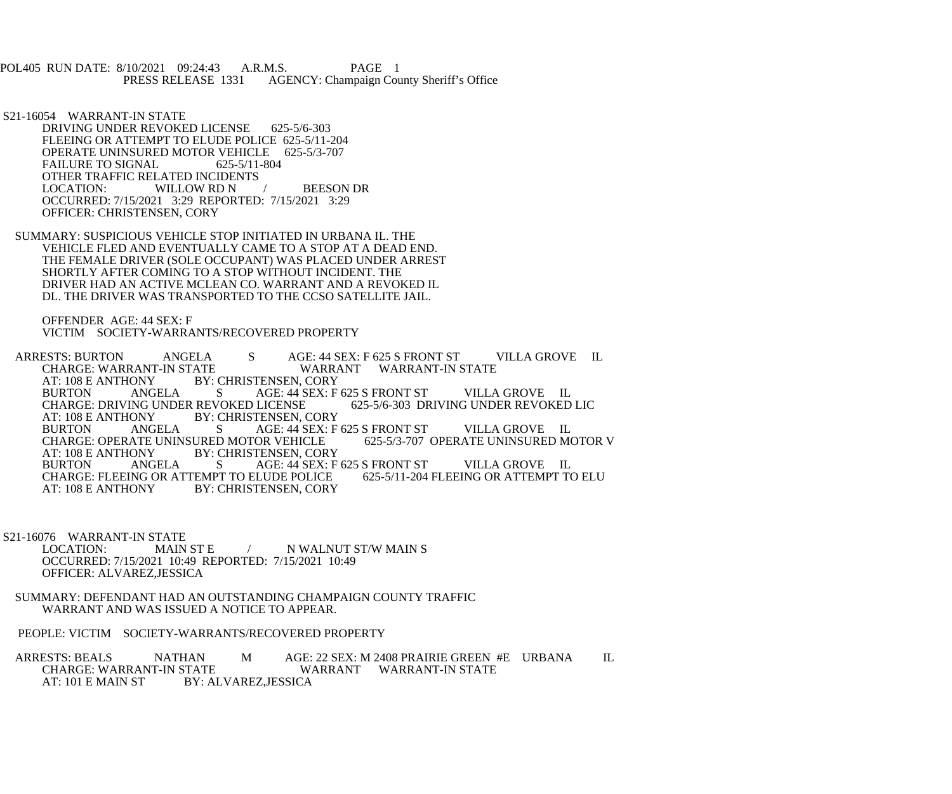POL405 RUN DATE: 8/10/2021 09:24:43 A.R.M.S. PAGE 1<br>PRESS RELEASE 1331 AGENCY: Champaign Cou AGENCY: Champaign County Sheriff's Office

- S21-16054 WARRANT-IN STATE DRIVING UNDER REVOKED LICENSE 625-5/6-303 FLEEING OR ATTEMPT TO ELUDE POLICE 625-5/11-204 OPERATE UNINSURED MOTOR VEHICLE 625-5/3-707<br>FAILURE TO SIGNAL 625-5/11-804 FAILURE TO SIGNAL OTHER TRAFFIC RELATED INCIDENTS<br>LOCATION: WILLOW RD N WILLOW RD N / BEESON DR OCCURRED: 7/15/2021 3:29 REPORTED: 7/15/2021 3:29 OFFICER: CHRISTENSEN, CORY
	- SUMMARY: SUSPICIOUS VEHICLE STOP INITIATED IN URBANA IL. THE VEHICLE FLED AND EVENTUALLY CAME TO A STOP AT A DEAD END. THE FEMALE DRIVER (SOLE OCCUPANT) WAS PLACED UNDER ARREST SHORTLY AFTER COMING TO A STOP WITHOUT INCIDENT. THE DRIVER HAD AN ACTIVE MCLEAN CO. WARRANT AND A REVOKED IL DL. THE DRIVER WAS TRANSPORTED TO THE CCSO SATELLITE JAIL.

 OFFENDER AGE: 44 SEX: F VICTIM SOCIETY-WARRANTS/RECOVERED PROPERTY

ARRESTS: BURTON ANGELA S AGE: 44 SEX: F 625 S FRONT ST VILLA GROVE IL CHARGE: WARRANT-IN STATE CHARGE: WARRANT-IN STATE WARRANT WARRANT-IN STATE<br>AT: 108 E ANTHONY BY: CHRISTENSEN. CORY AT: 108 E ANTHONY BY: CHRISTENSEN, CORY<br>BURTON ANGELA S AGE: 44 SEX: F S
AGE: 44 SEX: F 625 S FRONT ST
VILLA GROVE IL
COKED LICENSE
625-5/6-303 DRIVING UNDER REVOKED LIC CHARGE: DRIVING UNDER REVOKED LICENSE<br>AT: 108 E ANTHONY BY: CHRISTENSEN. AT: 108 E ANTHONY BY: CHRISTENSEN, CORY<br>BURTON ANGELA S AGE: 44 SEX: F AGE: 44 SEX: F 625 S FRONT ST VILLA GROVE IL<br>OR VEHICLE 625-5/3-707 OPERATE UNINSURED MOTOR V CHARGE: OPERATE UNINSURED MOTOR VEHICLE<br>AT: 108 E ANTHONY BY: CHRISTENSEN. COR BY: CHRISTENSEN, CORY<br>S<br>AGE: 44 SEX: F BURTON ANGELA S AGE: 44 SEX: F 625 S FRONT ST VILLA GROVE IL CHARGE: FLEEING OR ATTEMPT TO ELUDE POLICE 625-5/11-204 FLEEING OR ATTEMPT TO ELU CHARGE: FLEEING OR ATTEMPT TO ELUDE POLICE AT: 108 E ANTHONY BY: CHRISTENSEN, CORY

S21-16076 WARRANT-IN STATE<br>LOCATION: MAIN ST E LOCATION: MAIN ST E / N WALNUT ST/W MAIN S OCCURRED: 7/15/2021 10:49 REPORTED: 7/15/2021 10:49 OFFICER: ALVAREZ,JESSICA

 SUMMARY: DEFENDANT HAD AN OUTSTANDING CHAMPAIGN COUNTY TRAFFIC WARRANT AND WAS ISSUED A NOTICE TO APPEAR.

PEOPLE: VICTIM SOCIETY-WARRANTS/RECOVERED PROPERTY

ARRESTS: BEALS NATHAN M AGE: 22 SEX: M 2408 PRAIRIE GREEN #E URBANA IL CHARGE: WARRANT WARRANT WARRANT-IN STATE CHARGE: WARRANT-IN STATE WARRANT WARRANT-IN STATE<br>AT: 101 E MAIN ST BY: ALVAREZ.JESSICA BY: ALVAREZ, JESSICA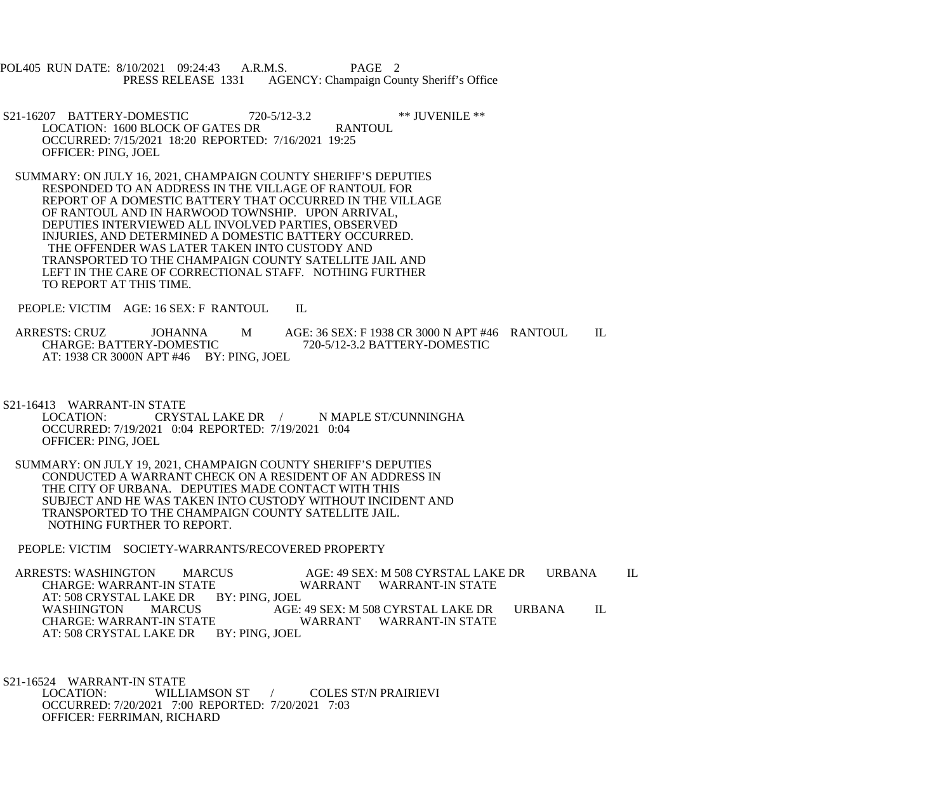POL405 RUN DATE: 8/10/2021 09:24:43 A.R.M.S. PAGE 2<br>PRESS RELEASE 1331 AGENCY: Champaign Cou AGENCY: Champaign County Sheriff's Office

S21-16207 BATTERY-DOMESTIC 720-5/12-3.2 \*\* JUVENILE \*\*<br>LOCATION: 1600 BLOCK OF GATES DR RANTOUL LOCATION: 1600 BLOCK OF GATES DR OCCURRED: 7/15/2021 18:20 REPORTED: 7/16/2021 19:25 OFFICER: PING, JOEL

 SUMMARY: ON JULY 16, 2021, CHAMPAIGN COUNTY SHERIFF'S DEPUTIES RESPONDED TO AN ADDRESS IN THE VILLAGE OF RANTOUL FOR REPORT OF A DOMESTIC BATTERY THAT OCCURRED IN THE VILLAGE OF RANTOUL AND IN HARWOOD TOWNSHIP. UPON ARRIVAL, DEPUTIES INTERVIEWED ALL INVOLVED PARTIES, OBSERVED INJURIES, AND DETERMINED A DOMESTIC BATTERY OCCURRED. THE OFFENDER WAS LATER TAKEN INTO CUSTODY AND TRANSPORTED TO THE CHAMPAIGN COUNTY SATELLITE JAIL AND LEFT IN THE CARE OF CORRECTIONAL STAFF. NOTHING FURTHER TO REPORT AT THIS TIME.

PEOPLE: VICTIM AGE: 16 SEX: F RANTOUL IL

ARRESTS: CRUZ JOHANNA M AGE: 36 SEX: F 1938 CR 3000 N APT #46 RANTOUL IL<br>CHARGE: BATTERY-DOMESTIC 720-5/12-3.2 BATTERY-DOMESTIC CHARGE: BATTERY-DOMESTIC AT: 1938 CR 3000N APT #46 BY: PING, JOEL

S21-16413 WARRANT-IN STATE<br>LOCATION: CRYS CRYSTAL LAKE DR / N MAPLE ST/CUNNINGHA OCCURRED: 7/19/2021 0:04 REPORTED: 7/19/2021 0:04 OFFICER: PING, JOEL

 SUMMARY: ON JULY 19, 2021, CHAMPAIGN COUNTY SHERIFF'S DEPUTIES CONDUCTED A WARRANT CHECK ON A RESIDENT OF AN ADDRESS IN THE CITY OF URBANA. DEPUTIES MADE CONTACT WITH THIS SUBJECT AND HE WAS TAKEN INTO CUSTODY WITHOUT INCIDENT AND TRANSPORTED TO THE CHAMPAIGN COUNTY SATELLITE JAIL. NOTHING FURTHER TO REPORT.

PEOPLE: VICTIM SOCIETY-WARRANTS/RECOVERED PROPERTY

ARRESTS: WASHINGTON MARCUS AGE: 49 SEX: M 508 CYRSTAL LAKE DR URBANA IL<br>CHARGE: WARRANT-IN STATE WARRANT WARRANT-IN STATE WARRANT WARRANT-IN STATE AT: 508 CRYSTAL LAKE DR BY: PING, JOEL<br>WASHINGTON MARCUS AGE: AGE: 49 SEX: M 508 CYRSTAL LAKE DR URBANA IL CHARGE: WARRANT-IN STATE WARRANT WARRANT-IN STATE AT: 508 CRYSTAL LAKE DR BY: PING, JOEL

S21-16524 WARRANT-IN STATE<br>LOCATION: WILLIAMSON ST COLES ST/N PRAIRIEVI OCCURRED: 7/20/2021 7:00 REPORTED: 7/20/2021 7:03 OFFICER: FERRIMAN, RICHARD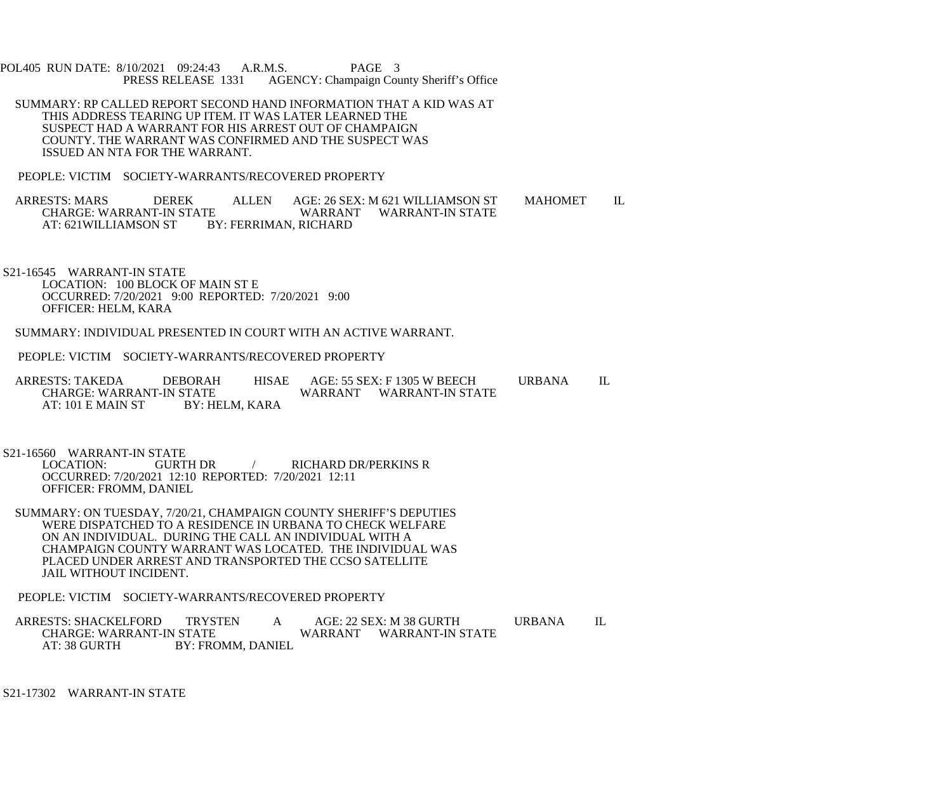POL405 RUN DATE: 8/10/2021 09:24:43 A.R.M.S. PAGE 3<br>PRESS RELEASE 1331 AGENCY: Champaign Cou AGENCY: Champaign County Sheriff's Office

 SUMMARY: RP CALLED REPORT SECOND HAND INFORMATION THAT A KID WAS AT THIS ADDRESS TEARING UP ITEM. IT WAS LATER LEARNED THE SUSPECT HAD A WARRANT FOR HIS ARREST OUT OF CHAMPAIGN COUNTY. THE WARRANT WAS CONFIRMED AND THE SUSPECT WAS ISSUED AN NTA FOR THE WARRANT.

PEOPLE: VICTIM SOCIETY-WARRANTS/RECOVERED PROPERTY

ARRESTS: MARS DEREK ALLEN AGE: 26 SEX: M 621 WILLIAMSON ST MAHOMET IL CHARGE: WARRANT WARRANT WARRANT-IN STATE CHARGE: WARRANT-IN STATE WARRANT WARRANT-IN STATE<br>AT: 621WILLIAMSON ST BY: FERRIMAN. RICHARD BY: FERRIMAN, RICHARD

 S21-16545 WARRANT-IN STATE LOCATION: 100 BLOCK OF MAIN ST E OCCURRED: 7/20/2021 9:00 REPORTED: 7/20/2021 9:00 OFFICER: HELM, KARA

SUMMARY: INDIVIDUAL PRESENTED IN COURT WITH AN ACTIVE WARRANT.

PEOPLE: VICTIM SOCIETY-WARRANTS/RECOVERED PROPERTY

ARRESTS: TAKEDA DEBORAH HISAE AGE: 55 SEX: F 1305 W BEECH URBANA IL CHARGE: WARRANT-IN STATE WARRANT WARRANT-IN STATE STATE WARRANT WARRANT-IN STATE<br>BY: HELM. KARA AT:  $101$  E MAIN ST

S21-16560 WARRANT-IN STATE<br>LOCATION: GURTH DR

 $\angle$  RICHARD DR/PERKINS R OCCURRED: 7/20/2021 12:10 REPORTED: 7/20/2021 12:11 OFFICER: FROMM, DANIEL

 SUMMARY: ON TUESDAY, 7/20/21, CHAMPAIGN COUNTY SHERIFF'S DEPUTIES WERE DISPATCHED TO A RESIDENCE IN URBANA TO CHECK WELFARE ON AN INDIVIDUAL. DURING THE CALL AN INDIVIDUAL WITH A CHAMPAIGN COUNTY WARRANT WAS LOCATED. THE INDIVIDUAL WAS PLACED UNDER ARREST AND TRANSPORTED THE CCSO SATELLITE JAIL WITHOUT INCIDENT.

PEOPLE: VICTIM SOCIETY-WARRANTS/RECOVERED PROPERTY

ARRESTS: SHACKELFORD TRYSTEN A AGE: 22 SEX: M 38 GURTH URBANA IL CHARGE: WARRANT-IN STATE CHARGE: WARRANT-IN STATE WARRANT WARRANT-IN STATE<br>AT: 38 GURTH BY: FROMM, DANIEL BY: FROMM, DANIEL

S21-17302 WARRANT-IN STATE